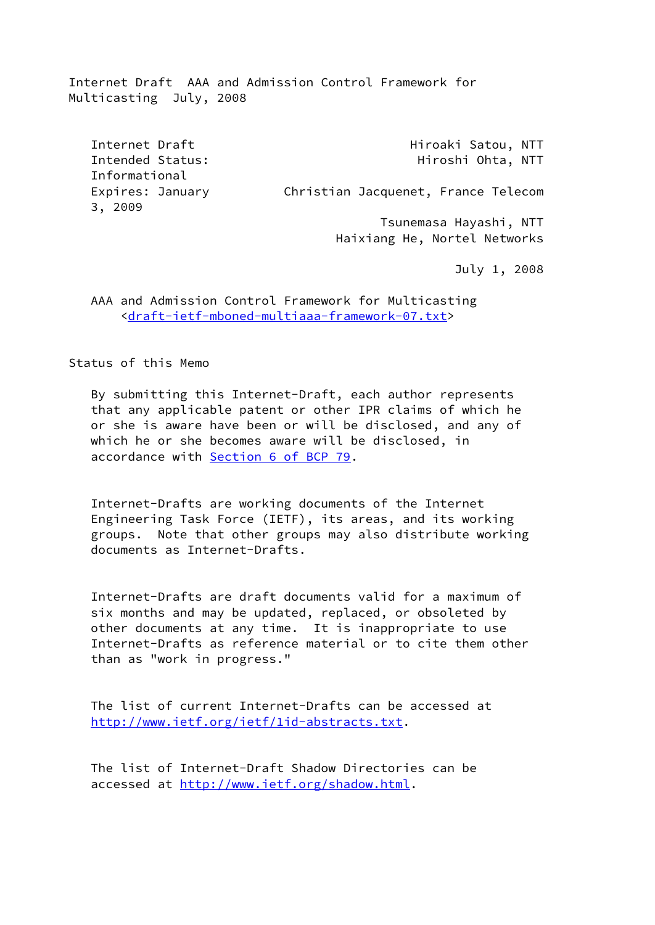Internet Draft AAA and Admission Control Framework for Multicasting July, 2008

Internet Draft **Hiroaki Satou, NTT** Intended Status: Hiroshi Ohta, NTT Informational Expires: January Christian Jacquenet, France Telecom 3, 2009 Tsunemasa Hayashi, NTT

July 1, 2008

Haixiang He, Nortel Networks

 AAA and Admission Control Framework for Multicasting [<draft-ietf-mboned-multiaaa-framework-07.txt](https://datatracker.ietf.org/doc/pdf/draft-ietf-mboned-multiaaa-framework-07.txt)>

Status of this Memo

 By submitting this Internet-Draft, each author represents that any applicable patent or other IPR claims of which he or she is aware have been or will be disclosed, and any of which he or she becomes aware will be disclosed, in accordance with Section [6 of BCP 79](https://datatracker.ietf.org/doc/pdf/bcp79#section-6).

 Internet-Drafts are working documents of the Internet Engineering Task Force (IETF), its areas, and its working groups. Note that other groups may also distribute working documents as Internet-Drafts.

 Internet-Drafts are draft documents valid for a maximum of six months and may be updated, replaced, or obsoleted by other documents at any time. It is inappropriate to use Internet-Drafts as reference material or to cite them other than as "work in progress."

 The list of current Internet-Drafts can be accessed at <http://www.ietf.org/ietf/1id-abstracts.txt>.

 The list of Internet-Draft Shadow Directories can be accessed at [http://www.ietf.org/shadow.html.](http://www.ietf.org/shadow.html)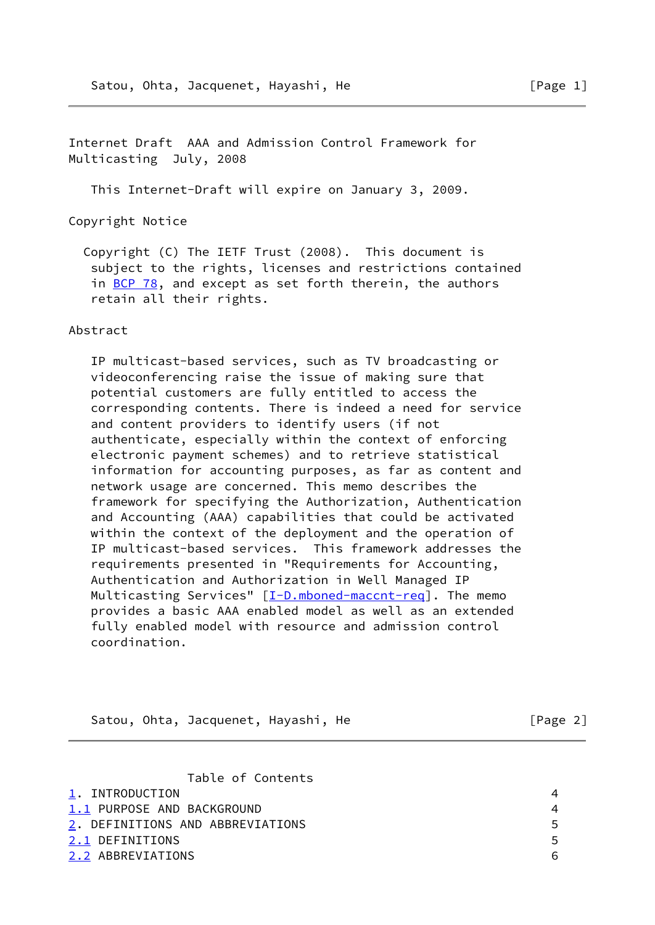Internet Draft AAA and Admission Control Framework for Multicasting July, 2008

This Internet-Draft will expire on January 3, 2009.

Copyright Notice

 Copyright (C) The IETF Trust (2008). This document is subject to the rights, licenses and restrictions contained in [BCP 78](https://datatracker.ietf.org/doc/pdf/bcp78), and except as set forth therein, the authors retain all their rights.

## Abstract

 IP multicast-based services, such as TV broadcasting or videoconferencing raise the issue of making sure that potential customers are fully entitled to access the corresponding contents. There is indeed a need for service and content providers to identify users (if not authenticate, especially within the context of enforcing electronic payment schemes) and to retrieve statistical information for accounting purposes, as far as content and network usage are concerned. This memo describes the framework for specifying the Authorization, Authentication and Accounting (AAA) capabilities that could be activated within the context of the deployment and the operation of IP multicast-based services. This framework addresses the requirements presented in "Requirements for Accounting, Authentication and Authorization in Well Managed IP Multicasting Services" [\[I-D.mboned-maccnt-req](#page-21-0)]. The memo provides a basic AAA enabled model as well as an extended fully enabled model with resource and admission control coordination.

| [Page 2]<br>Satou, Ohta, Jacquenet, Hayashi, He |
|-------------------------------------------------|
|-------------------------------------------------|

|  | Table of Contents |
|--|-------------------|
|  |                   |

<span id="page-1-4"></span><span id="page-1-3"></span><span id="page-1-2"></span><span id="page-1-1"></span><span id="page-1-0"></span>

| 1. INTRODUCTION                  |    |
|----------------------------------|----|
| 1.1 PURPOSE AND BACKGROUND       | 4  |
| 2. DEFINITIONS AND ABBREVIATIONS | 5. |
| 2.1 DEFINITIONS                  | 5. |
| 2.2 ABBREVIATIONS                | 6. |
|                                  |    |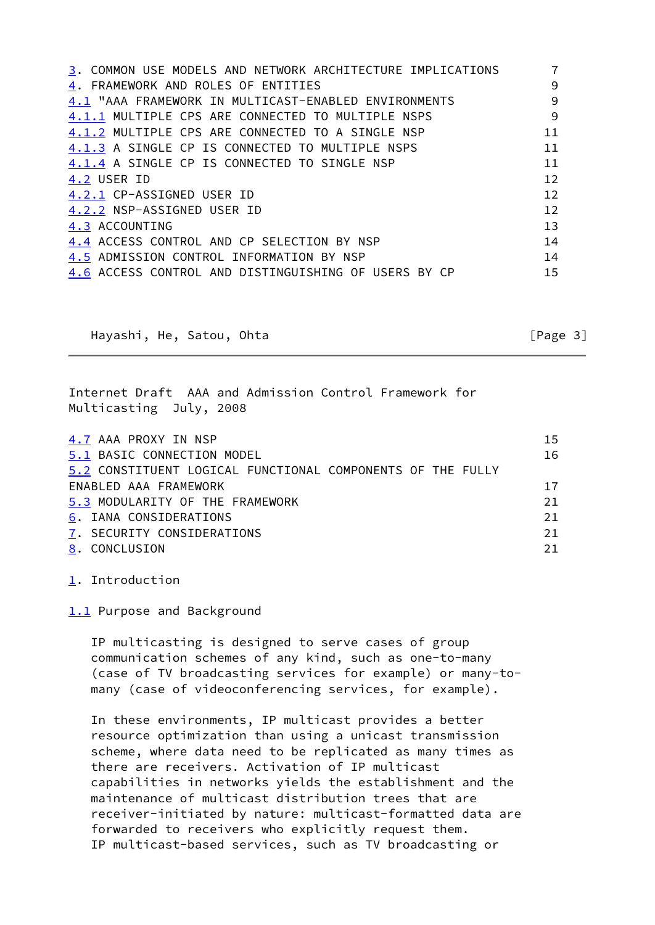<span id="page-2-8"></span><span id="page-2-7"></span><span id="page-2-6"></span><span id="page-2-5"></span><span id="page-2-4"></span><span id="page-2-3"></span><span id="page-2-2"></span><span id="page-2-1"></span><span id="page-2-0"></span>

| 3. COMMON USE MODELS AND NETWORK ARCHITECTURE IMPLICATIONS |                   |
|------------------------------------------------------------|-------------------|
| 4. FRAMEWORK AND ROLES OF ENTITIES                         | 9                 |
| 4.1 "AAA FRAMEWORK IN MULTICAST-ENABLED ENVIRONMENTS       | 9                 |
| 4.1.1 MULTIPLE CPS ARE CONNECTED TO MULTIPLE NSPS          | 9                 |
| 4.1.2 MULTIPLE CPS ARE CONNECTED TO A SINGLE NSP           | 11                |
| 4.1.3 A SINGLE CP IS CONNECTED TO MULTIPLE NSPS            | 11                |
| 4.1.4 A SINGLE CP IS CONNECTED TO SINGLE NSP               | 11                |
| 4.2 USER ID                                                | 12                |
| 4.2.1 CP-ASSIGNED USER ID                                  | 12                |
| 4.2.2 NSP-ASSIGNED USER ID                                 | $12 \overline{ }$ |
| 4.3 ACCOUNTING                                             | 13                |
| 4.4 ACCESS CONTROL AND CP SELECTION BY NSP                 | 14                |
| 4.5 ADMISSION CONTROL INFORMATION BY NSP                   | 14                |
| 4.6 ACCESS CONTROL AND DISTINGUISHING OF USERS BY CP       | 15                |
|                                                            |                   |

<span id="page-2-13"></span><span id="page-2-12"></span><span id="page-2-11"></span><span id="page-2-10"></span><span id="page-2-9"></span>Hayashi, He, Satou, Ohta [Page 3]

Internet Draft AAA and Admission Control Framework for Multicasting July, 2008

<span id="page-2-17"></span><span id="page-2-16"></span><span id="page-2-15"></span><span id="page-2-14"></span>

| 4.7 AAA PROXY IN NSP                                       | 15 |
|------------------------------------------------------------|----|
| 5.1 BASIC CONNECTION MODEL                                 | 16 |
| 5.2 CONSTITUENT LOGICAL FUNCTIONAL COMPONENTS OF THE FULLY |    |
| ENABLED AAA FRAMEWORK                                      | 17 |
| 5.3 MODULARITY OF THE FRAMEWORK                            | 21 |
| 6. IANA CONSIDERATIONS                                     | 21 |
| 7. SECURITY CONSIDERATIONS                                 | 21 |
| 8. CONCLUSION                                              | 21 |

<span id="page-2-20"></span><span id="page-2-19"></span><span id="page-2-18"></span>[1](#page-1-0). Introduction

[1.1](#page-1-1) Purpose and Background

 IP multicasting is designed to serve cases of group communication schemes of any kind, such as one-to-many (case of TV broadcasting services for example) or many-to many (case of videoconferencing services, for example).

 In these environments, IP multicast provides a better resource optimization than using a unicast transmission scheme, where data need to be replicated as many times as there are receivers. Activation of IP multicast capabilities in networks yields the establishment and the maintenance of multicast distribution trees that are receiver-initiated by nature: multicast-formatted data are forwarded to receivers who explicitly request them. IP multicast-based services, such as TV broadcasting or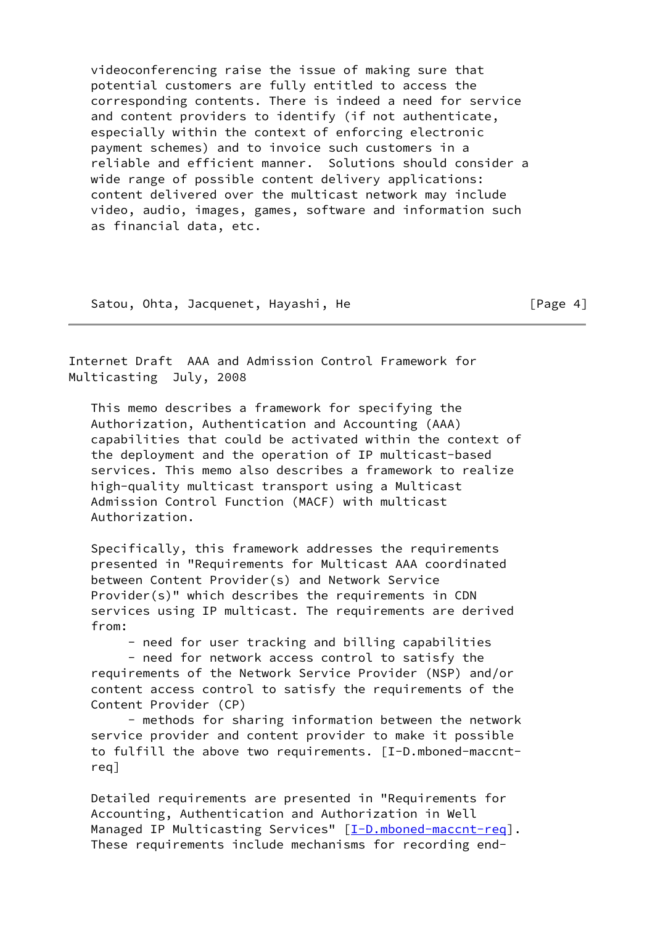videoconferencing raise the issue of making sure that potential customers are fully entitled to access the corresponding contents. There is indeed a need for service and content providers to identify (if not authenticate, especially within the context of enforcing electronic payment schemes) and to invoice such customers in a reliable and efficient manner. Solutions should consider a wide range of possible content delivery applications: content delivered over the multicast network may include video, audio, images, games, software and information such as financial data, etc.

Satou, Ohta, Jacquenet, Hayashi, He [Page 4]

Internet Draft AAA and Admission Control Framework for Multicasting July, 2008

 This memo describes a framework for specifying the Authorization, Authentication and Accounting (AAA) capabilities that could be activated within the context of the deployment and the operation of IP multicast-based services. This memo also describes a framework to realize high-quality multicast transport using a Multicast Admission Control Function (MACF) with multicast Authorization.

 Specifically, this framework addresses the requirements presented in "Requirements for Multicast AAA coordinated between Content Provider(s) and Network Service Provider(s)" which describes the requirements in CDN services using IP multicast. The requirements are derived from:

- need for user tracking and billing capabilities

 - need for network access control to satisfy the requirements of the Network Service Provider (NSP) and/or content access control to satisfy the requirements of the Content Provider (CP)

 - methods for sharing information between the network service provider and content provider to make it possible to fulfill the above two requirements. [I-D.mboned-maccnt req]

 Detailed requirements are presented in "Requirements for Accounting, Authentication and Authorization in Well Managed IP Multicasting Services" [[I-D.mboned-maccnt-req\]](#page-21-0). These requirements include mechanisms for recording end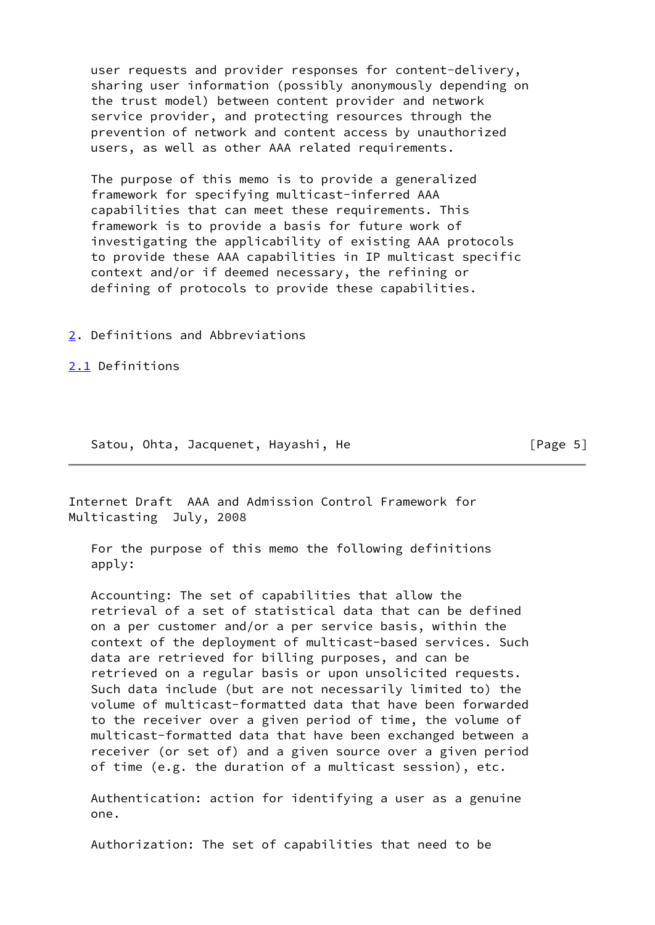user requests and provider responses for content-delivery, sharing user information (possibly anonymously depending on the trust model) between content provider and network service provider, and protecting resources through the prevention of network and content access by unauthorized users, as well as other AAA related requirements.

 The purpose of this memo is to provide a generalized framework for specifying multicast-inferred AAA capabilities that can meet these requirements. This framework is to provide a basis for future work of investigating the applicability of existing AAA protocols to provide these AAA capabilities in IP multicast specific context and/or if deemed necessary, the refining or defining of protocols to provide these capabilities.

[2](#page-1-2). Definitions and Abbreviations

[2.1](#page-1-3) Definitions

Satou, Ohta, Jacquenet, Hayashi, He **compare 1999** [Page 5]

Internet Draft AAA and Admission Control Framework for Multicasting July, 2008

 For the purpose of this memo the following definitions apply:

 Accounting: The set of capabilities that allow the retrieval of a set of statistical data that can be defined on a per customer and/or a per service basis, within the context of the deployment of multicast-based services. Such data are retrieved for billing purposes, and can be retrieved on a regular basis or upon unsolicited requests. Such data include (but are not necessarily limited to) the volume of multicast-formatted data that have been forwarded to the receiver over a given period of time, the volume of multicast-formatted data that have been exchanged between a receiver (or set of) and a given source over a given period of time (e.g. the duration of a multicast session), etc.

 Authentication: action for identifying a user as a genuine one.

Authorization: The set of capabilities that need to be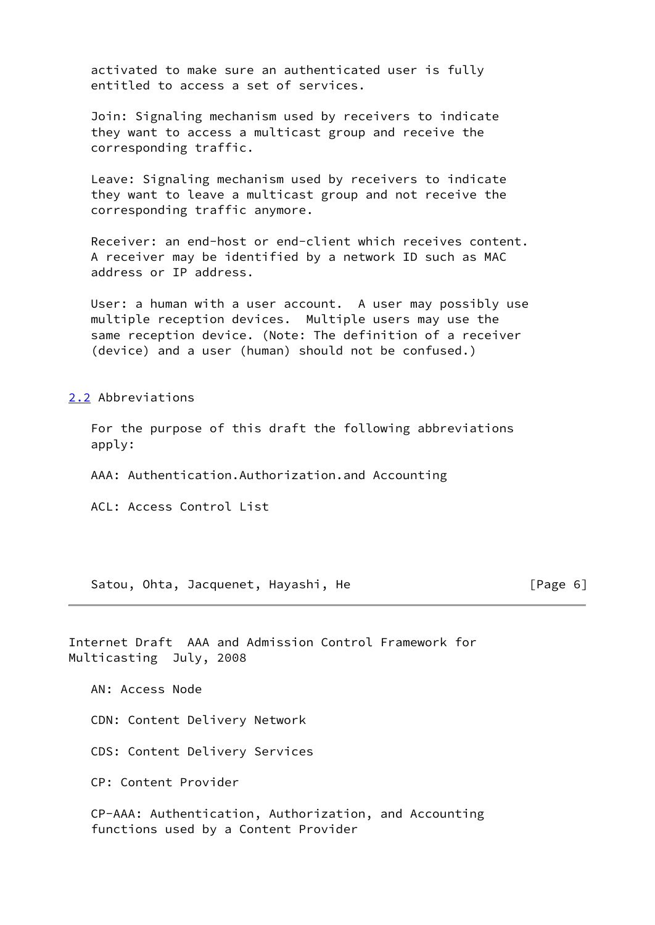activated to make sure an authenticated user is fully entitled to access a set of services.

 Join: Signaling mechanism used by receivers to indicate they want to access a multicast group and receive the corresponding traffic.

 Leave: Signaling mechanism used by receivers to indicate they want to leave a multicast group and not receive the corresponding traffic anymore.

 Receiver: an end-host or end-client which receives content. A receiver may be identified by a network ID such as MAC address or IP address.

 User: a human with a user account. A user may possibly use multiple reception devices. Multiple users may use the same reception device. (Note: The definition of a receiver (device) and a user (human) should not be confused.)

[2.2](#page-1-4) Abbreviations

 For the purpose of this draft the following abbreviations apply:

AAA: Authentication.Authorization.and Accounting

ACL: Access Control List

Satou, Ohta, Jacquenet, Hayashi, He [Page 6]

Internet Draft AAA and Admission Control Framework for Multicasting July, 2008

AN: Access Node

CDN: Content Delivery Network

CDS: Content Delivery Services

CP: Content Provider

 CP-AAA: Authentication, Authorization, and Accounting functions used by a Content Provider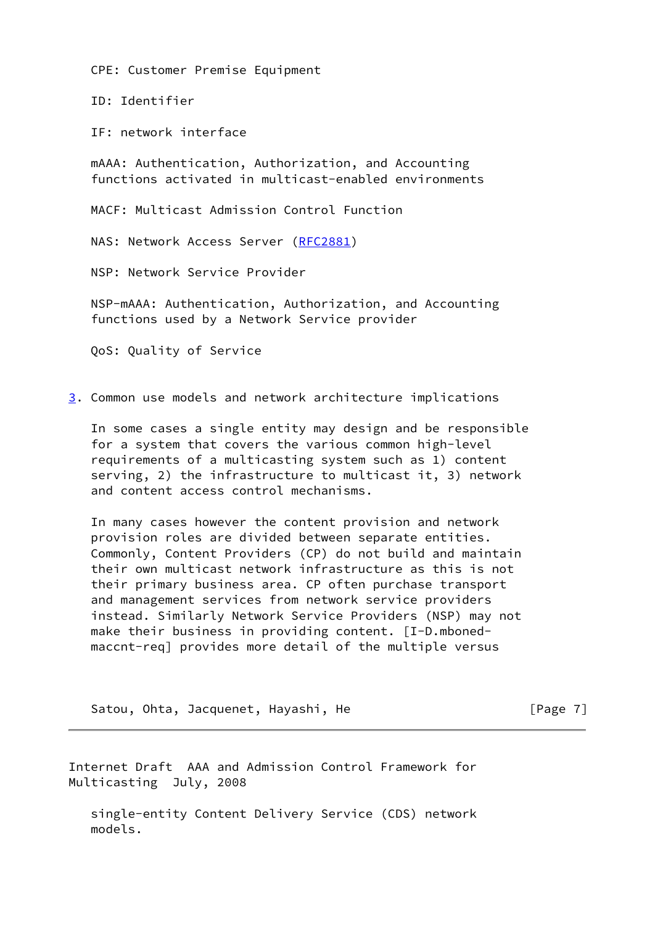CPE: Customer Premise Equipment

ID: Identifier

IF: network interface

 mAAA: Authentication, Authorization, and Accounting functions activated in multicast-enabled environments

MACF: Multicast Admission Control Function

NAS: Network Access Server ([RFC2881\)](https://datatracker.ietf.org/doc/pdf/rfc2881)

NSP: Network Service Provider

 NSP-mAAA: Authentication, Authorization, and Accounting functions used by a Network Service provider

QoS: Quality of Service

[3](#page-2-0). Common use models and network architecture implications

 In some cases a single entity may design and be responsible for a system that covers the various common high-level requirements of a multicasting system such as 1) content serving, 2) the infrastructure to multicast it, 3) network and content access control mechanisms.

 In many cases however the content provision and network provision roles are divided between separate entities. Commonly, Content Providers (CP) do not build and maintain their own multicast network infrastructure as this is not their primary business area. CP often purchase transport and management services from network service providers instead. Similarly Network Service Providers (NSP) may not make their business in providing content. [I-D.mboned maccnt-req] provides more detail of the multiple versus

Satou, Ohta, Jacquenet, Hayashi, He **compare 1999** [Page 7]

Internet Draft AAA and Admission Control Framework for Multicasting July, 2008

 single-entity Content Delivery Service (CDS) network models.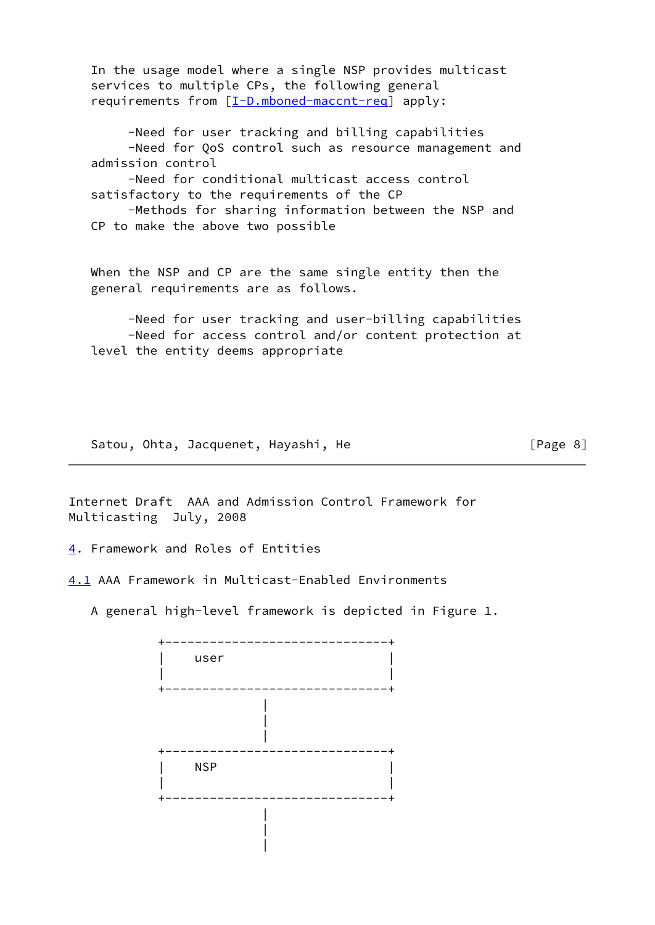In the usage model where a single NSP provides multicast services to multiple CPs, the following general requirements from [[I-D.mboned-maccnt-req\]](#page-21-0) apply:

 -Need for user tracking and billing capabilities -Need for QoS control such as resource management and admission control

 -Need for conditional multicast access control satisfactory to the requirements of the CP

 -Methods for sharing information between the NSP and CP to make the above two possible

 When the NSP and CP are the same single entity then the general requirements are as follows.

 -Need for user tracking and user-billing capabilities -Need for access control and/or content protection at level the entity deems appropriate

Satou, Ohta, Jacquenet, Hayashi, He [Page 8]

Internet Draft AAA and Admission Control Framework for Multicasting July, 2008

[4](#page-2-1). Framework and Roles of Entities

|

[4.1](#page-2-2) AAA Framework in Multicast-Enabled Environments

A general high-level framework is depicted in Figure 1.

 +------------------------------+  $\vert$  user  $\vert$  | | +------------------------------+ | | | +------------------------------+  $NSP$  | | +------------------------------+ | |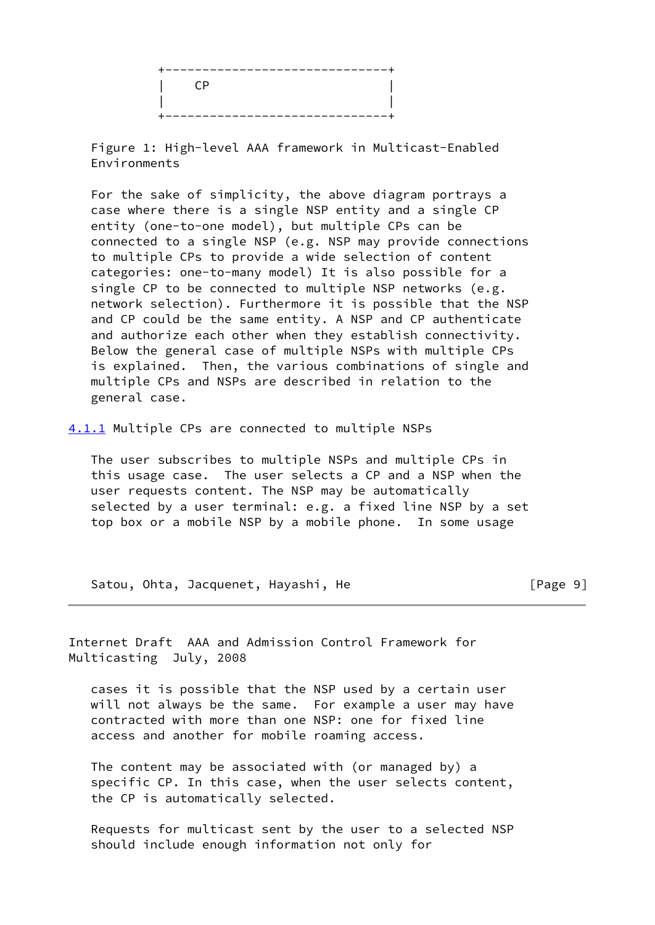| $\Gamma$ |  |
|----------|--|
|          |  |
| ----     |  |

 Figure 1: High-level AAA framework in Multicast-Enabled Environments

 For the sake of simplicity, the above diagram portrays a case where there is a single NSP entity and a single CP entity (one-to-one model), but multiple CPs can be connected to a single NSP (e.g. NSP may provide connections to multiple CPs to provide a wide selection of content categories: one-to-many model) It is also possible for a single CP to be connected to multiple NSP networks (e.g. network selection). Furthermore it is possible that the NSP and CP could be the same entity. A NSP and CP authenticate and authorize each other when they establish connectivity. Below the general case of multiple NSPs with multiple CPs is explained. Then, the various combinations of single and multiple CPs and NSPs are described in relation to the general case.

[4.1.1](#page-2-3) Multiple CPs are connected to multiple NSPs

 The user subscribes to multiple NSPs and multiple CPs in this usage case. The user selects a CP and a NSP when the user requests content. The NSP may be automatically selected by a user terminal: e.g. a fixed line NSP by a set top box or a mobile NSP by a mobile phone. In some usage

Satou, Ohta, Jacquenet, Hayashi, He **Example 2018** [Page 9]

Internet Draft AAA and Admission Control Framework for Multicasting July, 2008

 cases it is possible that the NSP used by a certain user will not always be the same. For example a user may have contracted with more than one NSP: one for fixed line access and another for mobile roaming access.

 The content may be associated with (or managed by) a specific CP. In this case, when the user selects content, the CP is automatically selected.

 Requests for multicast sent by the user to a selected NSP should include enough information not only for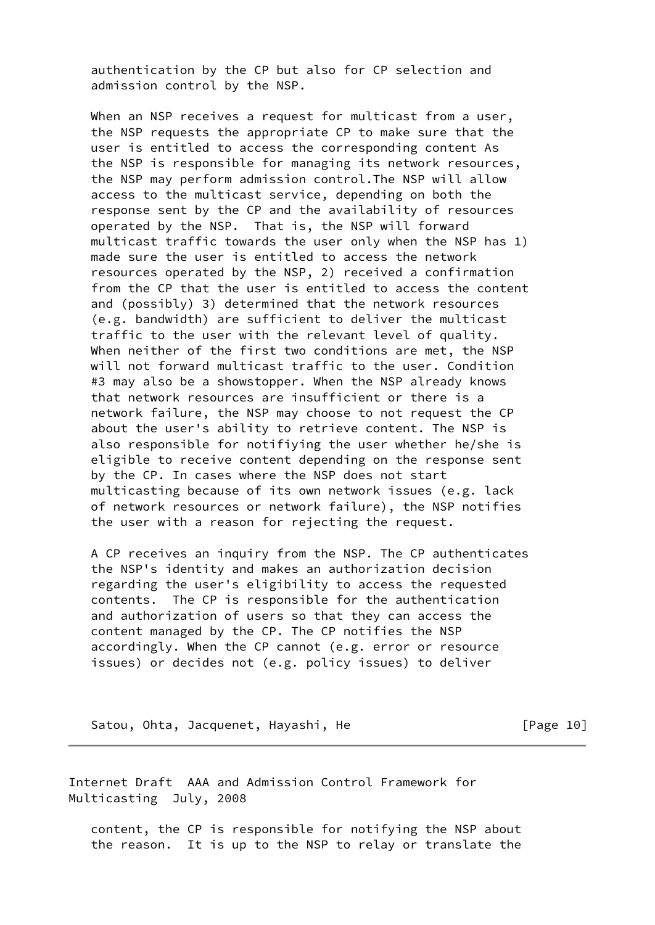authentication by the CP but also for CP selection and admission control by the NSP.

When an NSP receives a request for multicast from a user, the NSP requests the appropriate CP to make sure that the user is entitled to access the corresponding content As the NSP is responsible for managing its network resources, the NSP may perform admission control.The NSP will allow access to the multicast service, depending on both the response sent by the CP and the availability of resources operated by the NSP. That is, the NSP will forward multicast traffic towards the user only when the NSP has 1) made sure the user is entitled to access the network resources operated by the NSP, 2) received a confirmation from the CP that the user is entitled to access the content and (possibly) 3) determined that the network resources (e.g. bandwidth) are sufficient to deliver the multicast traffic to the user with the relevant level of quality. When neither of the first two conditions are met, the NSP will not forward multicast traffic to the user. Condition #3 may also be a showstopper. When the NSP already knows that network resources are insufficient or there is a network failure, the NSP may choose to not request the CP about the user's ability to retrieve content. The NSP is also responsible for notifiying the user whether he/she is eligible to receive content depending on the response sent by the CP. In cases where the NSP does not start multicasting because of its own network issues (e.g. lack of network resources or network failure), the NSP notifies the user with a reason for rejecting the request.

 A CP receives an inquiry from the NSP. The CP authenticates the NSP's identity and makes an authorization decision regarding the user's eligibility to access the requested contents. The CP is responsible for the authentication and authorization of users so that they can access the content managed by the CP. The CP notifies the NSP accordingly. When the CP cannot (e.g. error or resource issues) or decides not (e.g. policy issues) to deliver

Satou, Ohta, Jacquenet, Hayashi, He **compare 10** [Page 10]

Internet Draft AAA and Admission Control Framework for Multicasting July, 2008

 content, the CP is responsible for notifying the NSP about the reason. It is up to the NSP to relay or translate the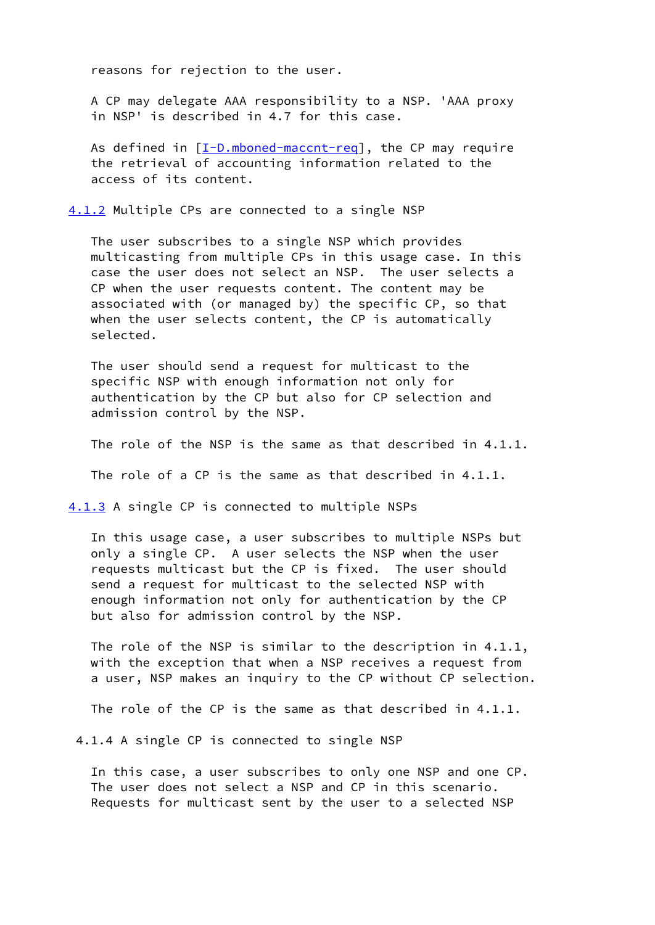reasons for rejection to the user.

 A CP may delegate AAA responsibility to a NSP. 'AAA proxy in NSP' is described in 4.7 for this case.

As defined in  $[I-D.mbond-maccnt-reg]$ , the CP may require the retrieval of accounting information related to the access of its content.

[4.1.2](#page-2-4) Multiple CPs are connected to a single NSP

 The user subscribes to a single NSP which provides multicasting from multiple CPs in this usage case. In this case the user does not select an NSP. The user selects a CP when the user requests content. The content may be associated with (or managed by) the specific CP, so that when the user selects content, the CP is automatically selected.

 The user should send a request for multicast to the specific NSP with enough information not only for authentication by the CP but also for CP selection and admission control by the NSP.

The role of the NSP is the same as that described in 4.1.1.

The role of a CP is the same as that described in 4.1.1.

[4.1.3](#page-2-5) A single CP is connected to multiple NSPs

 In this usage case, a user subscribes to multiple NSPs but only a single CP. A user selects the NSP when the user requests multicast but the CP is fixed. The user should send a request for multicast to the selected NSP with enough information not only for authentication by the CP but also for admission control by the NSP.

 The role of the NSP is similar to the description in 4.1.1, with the exception that when a NSP receives a request from a user, NSP makes an inquiry to the CP without CP selection.

The role of the CP is the same as that described in 4.1.1.

4.1.4 A single CP is connected to single NSP

 In this case, a user subscribes to only one NSP and one CP. The user does not select a NSP and CP in this scenario. Requests for multicast sent by the user to a selected NSP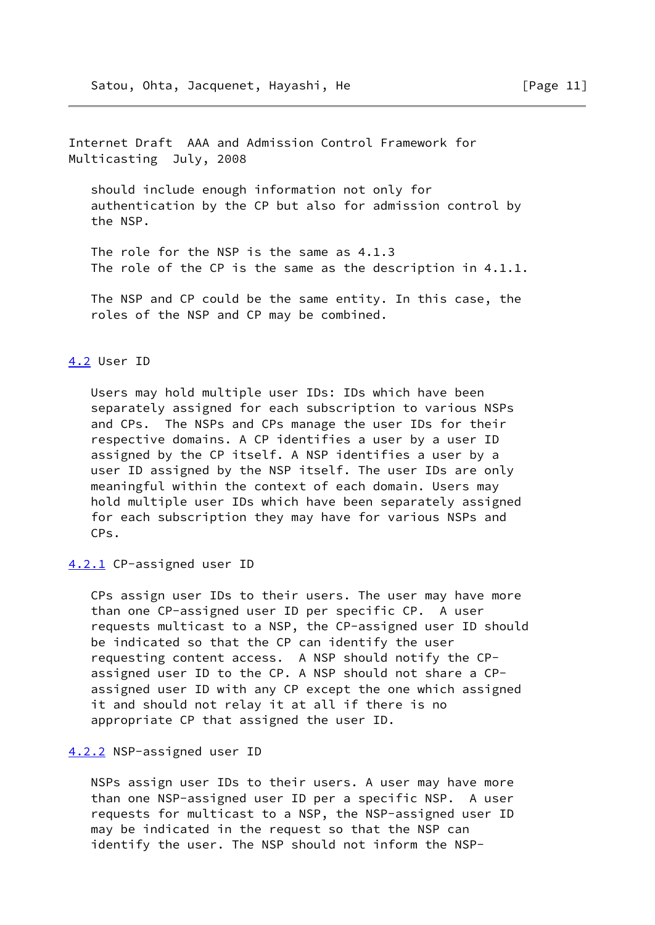Internet Draft AAA and Admission Control Framework for Multicasting July, 2008

 should include enough information not only for authentication by the CP but also for admission control by the NSP.

 The role for the NSP is the same as 4.1.3 The role of the CP is the same as the description in 4.1.1.

 The NSP and CP could be the same entity. In this case, the roles of the NSP and CP may be combined.

## [4.2](#page-2-7) User ID

 Users may hold multiple user IDs: IDs which have been separately assigned for each subscription to various NSPs and CPs. The NSPs and CPs manage the user IDs for their respective domains. A CP identifies a user by a user ID assigned by the CP itself. A NSP identifies a user by a user ID assigned by the NSP itself. The user IDs are only meaningful within the context of each domain. Users may hold multiple user IDs which have been separately assigned for each subscription they may have for various NSPs and CPs.

[4.2.1](#page-2-8) CP-assigned user ID

 CPs assign user IDs to their users. The user may have more than one CP-assigned user ID per specific CP. A user requests multicast to a NSP, the CP-assigned user ID should be indicated so that the CP can identify the user requesting content access. A NSP should notify the CP assigned user ID to the CP. A NSP should not share a CP assigned user ID with any CP except the one which assigned it and should not relay it at all if there is no appropriate CP that assigned the user ID.

#### [4.2.2](#page-2-9) NSP-assigned user ID

 NSPs assign user IDs to their users. A user may have more than one NSP-assigned user ID per a specific NSP. A user requests for multicast to a NSP, the NSP-assigned user ID may be indicated in the request so that the NSP can identify the user. The NSP should not inform the NSP-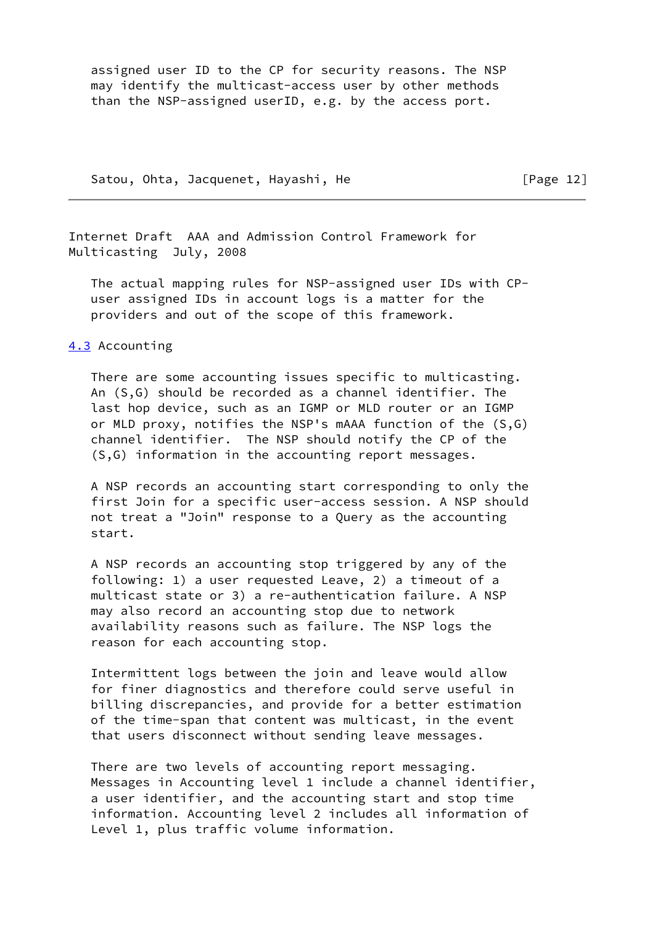assigned user ID to the CP for security reasons. The NSP may identify the multicast-access user by other methods than the NSP-assigned userID, e.g. by the access port.

Satou, Ohta, Jacquenet, Hayashi, He [Page 12]

Internet Draft AAA and Admission Control Framework for Multicasting July, 2008

 The actual mapping rules for NSP-assigned user IDs with CP user assigned IDs in account logs is a matter for the providers and out of the scope of this framework.

### [4.3](#page-2-10) Accounting

 There are some accounting issues specific to multicasting. An (S,G) should be recorded as a channel identifier. The last hop device, such as an IGMP or MLD router or an IGMP or MLD proxy, notifies the NSP's mAAA function of the (S,G) channel identifier. The NSP should notify the CP of the (S,G) information in the accounting report messages.

 A NSP records an accounting start corresponding to only the first Join for a specific user-access session. A NSP should not treat a "Join" response to a Query as the accounting start.

 A NSP records an accounting stop triggered by any of the following: 1) a user requested Leave, 2) a timeout of a multicast state or 3) a re-authentication failure. A NSP may also record an accounting stop due to network availability reasons such as failure. The NSP logs the reason for each accounting stop.

 Intermittent logs between the join and leave would allow for finer diagnostics and therefore could serve useful in billing discrepancies, and provide for a better estimation of the time-span that content was multicast, in the event that users disconnect without sending leave messages.

 There are two levels of accounting report messaging. Messages in Accounting level 1 include a channel identifier, a user identifier, and the accounting start and stop time information. Accounting level 2 includes all information of Level 1, plus traffic volume information.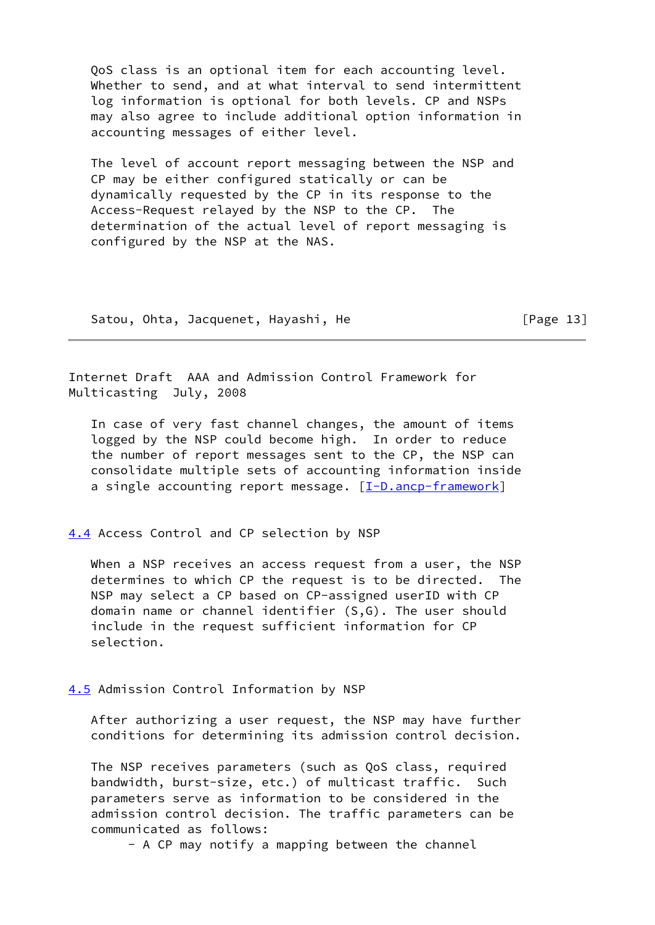QoS class is an optional item for each accounting level. Whether to send, and at what interval to send intermittent log information is optional for both levels. CP and NSPs may also agree to include additional option information in accounting messages of either level.

 The level of account report messaging between the NSP and CP may be either configured statically or can be dynamically requested by the CP in its response to the Access-Request relayed by the NSP to the CP. The determination of the actual level of report messaging is configured by the NSP at the NAS.

Satou, Ohta, Jacquenet, Hayashi, He [Page 13]

Internet Draft AAA and Admission Control Framework for Multicasting July, 2008

 In case of very fast channel changes, the amount of items logged by the NSP could become high. In order to reduce the number of report messages sent to the CP, the NSP can consolidate multiple sets of accounting information inside a single accounting report message. [\[I-D.ancp-framework\]](#page-21-1)

# [4.4](#page-2-11) Access Control and CP selection by NSP

 When a NSP receives an access request from a user, the NSP determines to which CP the request is to be directed. The NSP may select a CP based on CP-assigned userID with CP domain name or channel identifier (S,G). The user should include in the request sufficient information for CP selection.

[4.5](#page-2-12) Admission Control Information by NSP

 After authorizing a user request, the NSP may have further conditions for determining its admission control decision.

 The NSP receives parameters (such as QoS class, required bandwidth, burst-size, etc.) of multicast traffic. Such parameters serve as information to be considered in the admission control decision. The traffic parameters can be communicated as follows:

- A CP may notify a mapping between the channel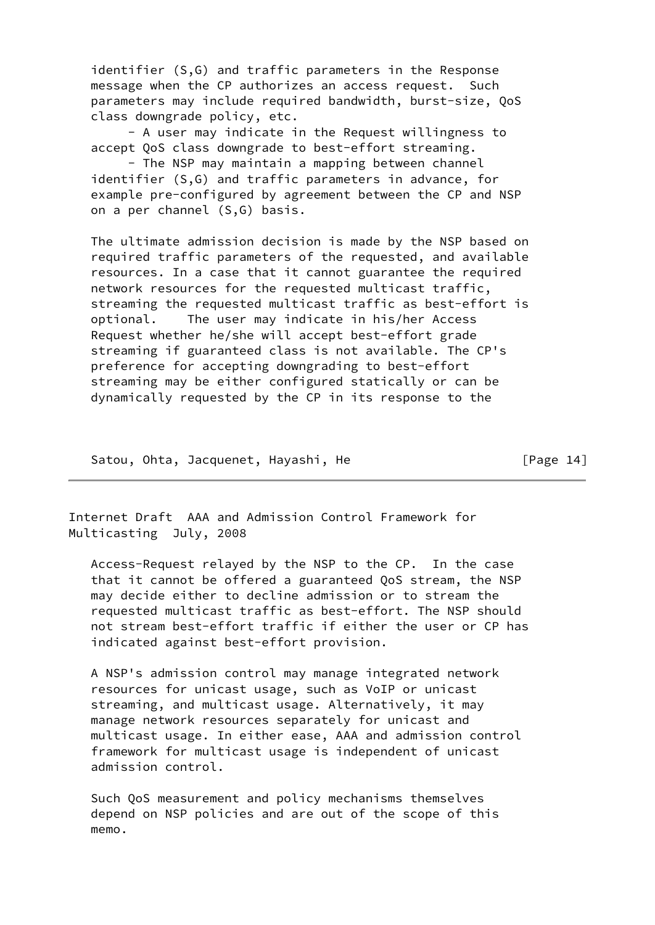identifier (S,G) and traffic parameters in the Response message when the CP authorizes an access request. Such parameters may include required bandwidth, burst-size, QoS class downgrade policy, etc.

 - A user may indicate in the Request willingness to accept QoS class downgrade to best-effort streaming.

 - The NSP may maintain a mapping between channel identifier (S,G) and traffic parameters in advance, for example pre-configured by agreement between the CP and NSP on a per channel (S,G) basis.

 The ultimate admission decision is made by the NSP based on required traffic parameters of the requested, and available resources. In a case that it cannot guarantee the required network resources for the requested multicast traffic, streaming the requested multicast traffic as best-effort is optional. The user may indicate in his/her Access Request whether he/she will accept best-effort grade streaming if guaranteed class is not available. The CP's preference for accepting downgrading to best-effort streaming may be either configured statically or can be dynamically requested by the CP in its response to the

Satou, Ohta, Jacquenet, Hayashi, He [Page 14]

Internet Draft AAA and Admission Control Framework for Multicasting July, 2008

 Access-Request relayed by the NSP to the CP. In the case that it cannot be offered a guaranteed QoS stream, the NSP may decide either to decline admission or to stream the requested multicast traffic as best-effort. The NSP should not stream best-effort traffic if either the user or CP has indicated against best-effort provision.

 A NSP's admission control may manage integrated network resources for unicast usage, such as VoIP or unicast streaming, and multicast usage. Alternatively, it may manage network resources separately for unicast and multicast usage. In either ease, AAA and admission control framework for multicast usage is independent of unicast admission control.

 Such QoS measurement and policy mechanisms themselves depend on NSP policies and are out of the scope of this memo.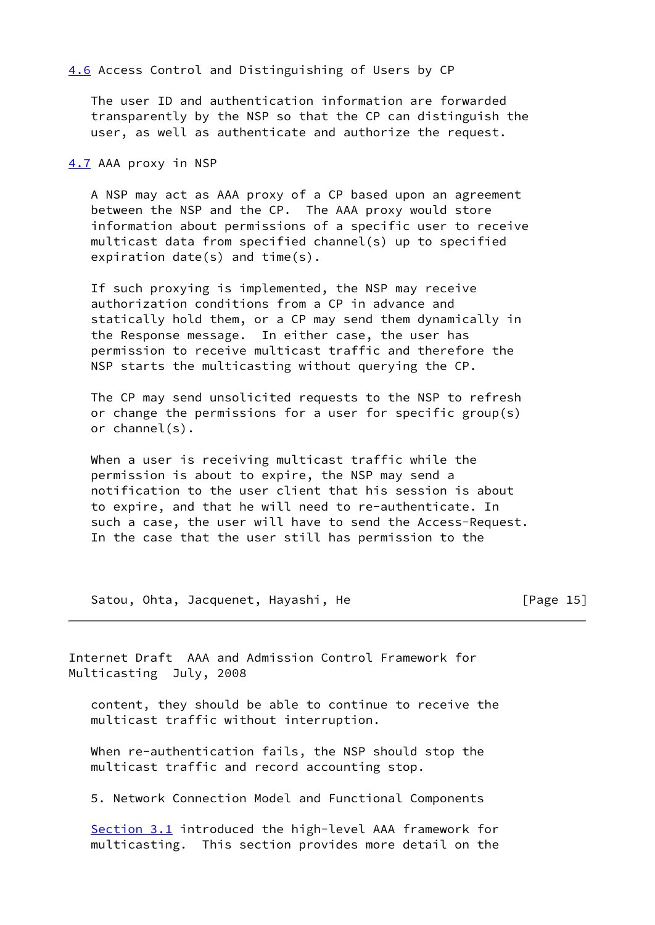[4.6](#page-2-13) Access Control and Distinguishing of Users by CP

 The user ID and authentication information are forwarded transparently by the NSP so that the CP can distinguish the user, as well as authenticate and authorize the request.

[4.7](#page-2-14) AAA proxy in NSP

 A NSP may act as AAA proxy of a CP based upon an agreement between the NSP and the CP. The AAA proxy would store information about permissions of a specific user to receive multicast data from specified channel(s) up to specified expiration date(s) and time(s).

 If such proxying is implemented, the NSP may receive authorization conditions from a CP in advance and statically hold them, or a CP may send them dynamically in the Response message. In either case, the user has permission to receive multicast traffic and therefore the NSP starts the multicasting without querying the CP.

 The CP may send unsolicited requests to the NSP to refresh or change the permissions for a user for specific group(s) or channel(s).

 When a user is receiving multicast traffic while the permission is about to expire, the NSP may send a notification to the user client that his session is about to expire, and that he will need to re-authenticate. In such a case, the user will have to send the Access-Request. In the case that the user still has permission to the

Satou, Ohta, Jacquenet, Hayashi, He **Example 2018** [Page 15]

Internet Draft AAA and Admission Control Framework for Multicasting July, 2008

 content, they should be able to continue to receive the multicast traffic without interruption.

 When re-authentication fails, the NSP should stop the multicast traffic and record accounting stop.

5. Network Connection Model and Functional Components

Section 3.1 introduced the high-level AAA framework for multicasting. This section provides more detail on the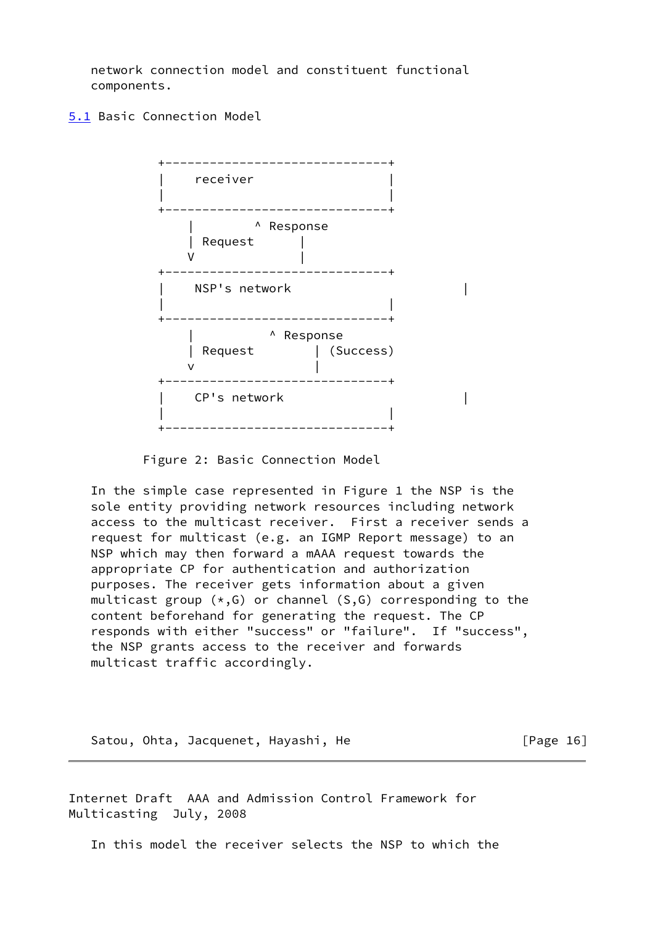network connection model and constituent functional components.

[5.1](#page-2-15) Basic Connection Model



Figure 2: Basic Connection Model

 In the simple case represented in Figure 1 the NSP is the sole entity providing network resources including network access to the multicast receiver. First a receiver sends a request for multicast (e.g. an IGMP Report message) to an NSP which may then forward a mAAA request towards the appropriate CP for authentication and authorization purposes. The receiver gets information about a given multicast group  $(*,G)$  or channel  $(S,G)$  corresponding to the content beforehand for generating the request. The CP responds with either "success" or "failure". If "success", the NSP grants access to the receiver and forwards multicast traffic accordingly.

Satou, Ohta, Jacquenet, Hayashi, He **Firmum** [Page 16]

Internet Draft AAA and Admission Control Framework for Multicasting July, 2008

In this model the receiver selects the NSP to which the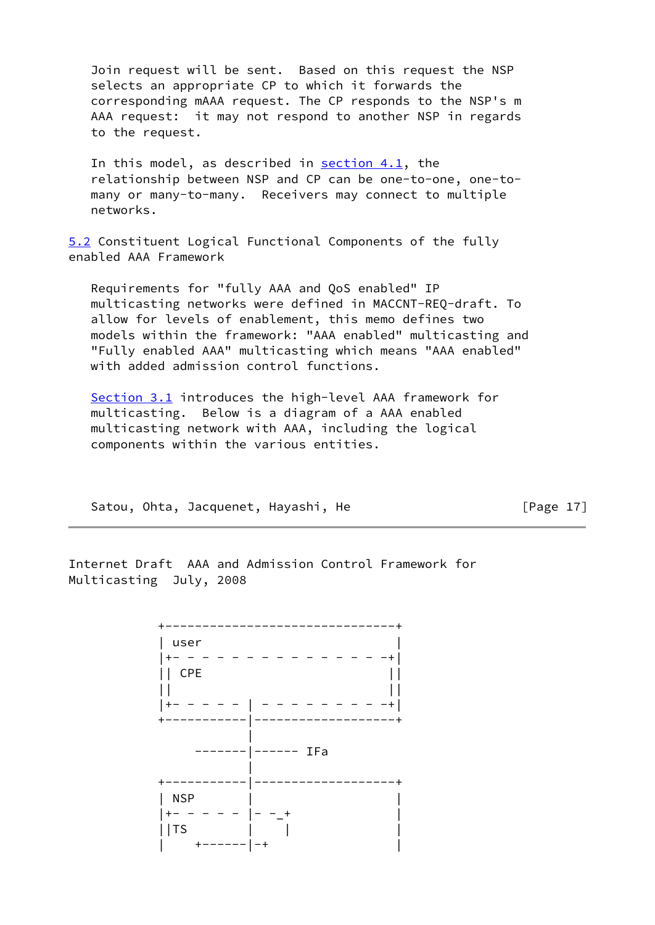Join request will be sent. Based on this request the NSP selects an appropriate CP to which it forwards the corresponding mAAA request. The CP responds to the NSP's m AAA request: it may not respond to another NSP in regards to the request.

In this model, as described in  $section 4.1$ , the relationship between NSP and CP can be one-to-one, one-to many or many-to-many. Receivers may connect to multiple networks.

[5.2](#page-2-16) Constituent Logical Functional Components of the fully enabled AAA Framework

 Requirements for "fully AAA and QoS enabled" IP multicasting networks were defined in MACCNT-REQ-draft. To allow for levels of enablement, this memo defines two models within the framework: "AAA enabled" multicasting and "Fully enabled AAA" multicasting which means "AAA enabled" with added admission control functions.

Section 3.1 introduces the high-level AAA framework for multicasting. Below is a diagram of a AAA enabled multicasting network with AAA, including the logical components within the various entities.

Satou, Ohta, Jacquenet, Hayashi, He [Page 17]

Internet Draft AAA and Admission Control Framework for Multicasting July, 2008

 +-------------------------------+ | user | |+- - - - - - - - - - - - - - -+|  $||$  CPE  $||$  $||$   $||$  |+- - - - - | - - - - - - - - -+| +-----------|-------------------+ | -------|------ IFa | +-----------|-------------------+ | NSP | |  $|+- - - - - |- -|$  $||TS$  | | | +------|-+ |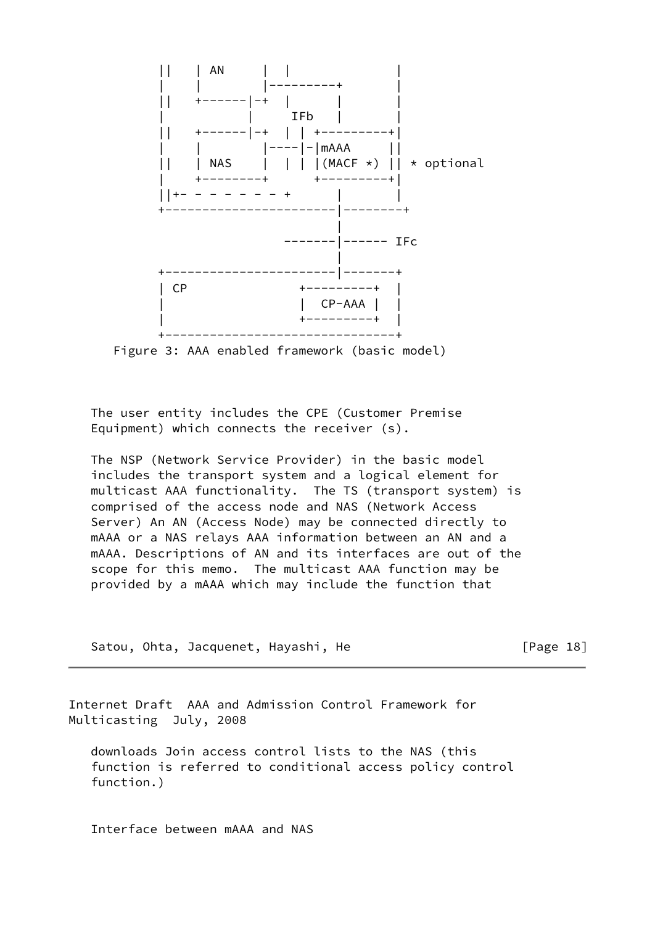

Figure 3: AAA enabled framework (basic model)

 The user entity includes the CPE (Customer Premise Equipment) which connects the receiver (s).

 The NSP (Network Service Provider) in the basic model includes the transport system and a logical element for multicast AAA functionality. The TS (transport system) is comprised of the access node and NAS (Network Access Server) An AN (Access Node) may be connected directly to mAAA or a NAS relays AAA information between an AN and a mAAA. Descriptions of AN and its interfaces are out of the scope for this memo. The multicast AAA function may be provided by a mAAA which may include the function that

Satou, Ohta, Jacquenet, Hayashi, He [Page 18]

Internet Draft AAA and Admission Control Framework for Multicasting July, 2008

 downloads Join access control lists to the NAS (this function is referred to conditional access policy control function.)

Interface between mAAA and NAS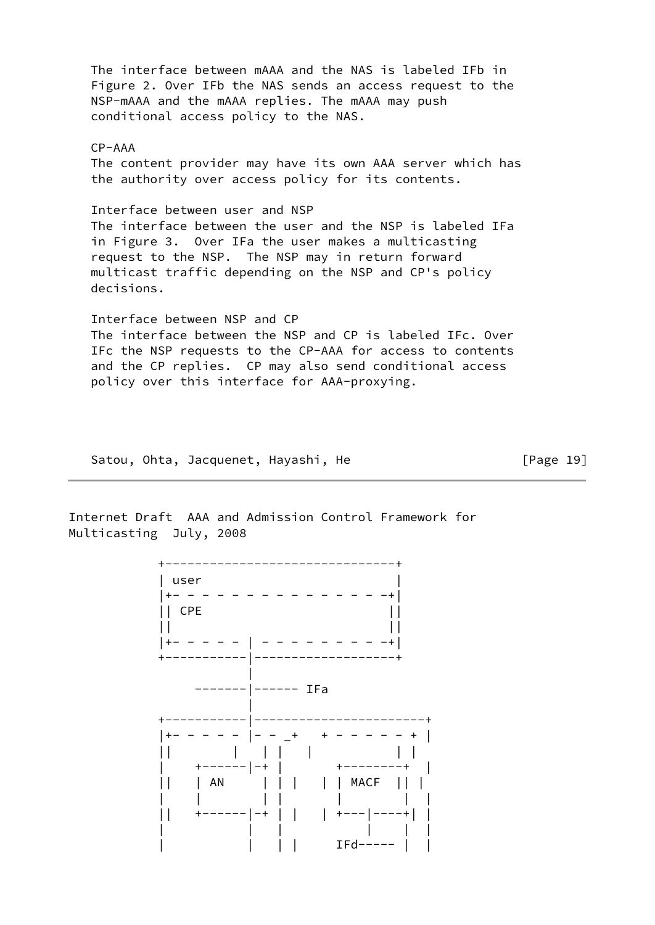The interface between mAAA and the NAS is labeled IFb in Figure 2. Over IFb the NAS sends an access request to the NSP-mAAA and the mAAA replies. The mAAA may push conditional access policy to the NAS. CP-AAA The content provider may have its own AAA server which has the authority over access policy for its contents. Interface between user and NSP The interface between the user and the NSP is labeled IFa in Figure 3. Over IFa the user makes a multicasting request to the NSP. The NSP may in return forward multicast traffic depending on the NSP and CP's policy decisions. Interface between NSP and CP The interface between the NSP and CP is labeled IFc. Over IFc the NSP requests to the CP-AAA for access to contents and the CP replies. CP may also send conditional access policy over this interface for AAA-proxying.

Satou, Ohta, Jacquenet, Hayashi, He **East Election** [Page 19]

Internet Draft AAA and Admission Control Framework for Multicasting July, 2008

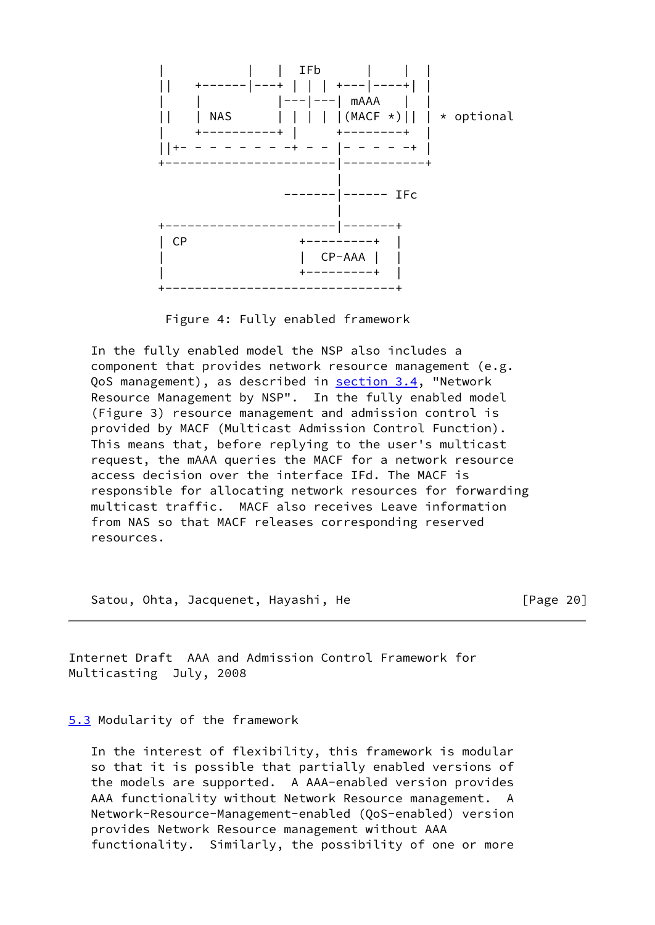

Figure 4: Fully enabled framework

 In the fully enabled model the NSP also includes a component that provides network resource management (e.g. QoS management), as described in section 3.4, "Network Resource Management by NSP". In the fully enabled model (Figure 3) resource management and admission control is provided by MACF (Multicast Admission Control Function). This means that, before replying to the user's multicast request, the mAAA queries the MACF for a network resource access decision over the interface IFd. The MACF is responsible for allocating network resources for forwarding multicast traffic. MACF also receives Leave information from NAS so that MACF releases corresponding reserved resources.

Satou, Ohta, Jacquenet, Hayashi, He **Example 20** [Page 20]

Internet Draft AAA and Admission Control Framework for Multicasting July, 2008

[5.3](#page-2-17) Modularity of the framework

 In the interest of flexibility, this framework is modular so that it is possible that partially enabled versions of the models are supported. A AAA-enabled version provides AAA functionality without Network Resource management. A Network-Resource-Management-enabled (QoS-enabled) version provides Network Resource management without AAA functionality. Similarly, the possibility of one or more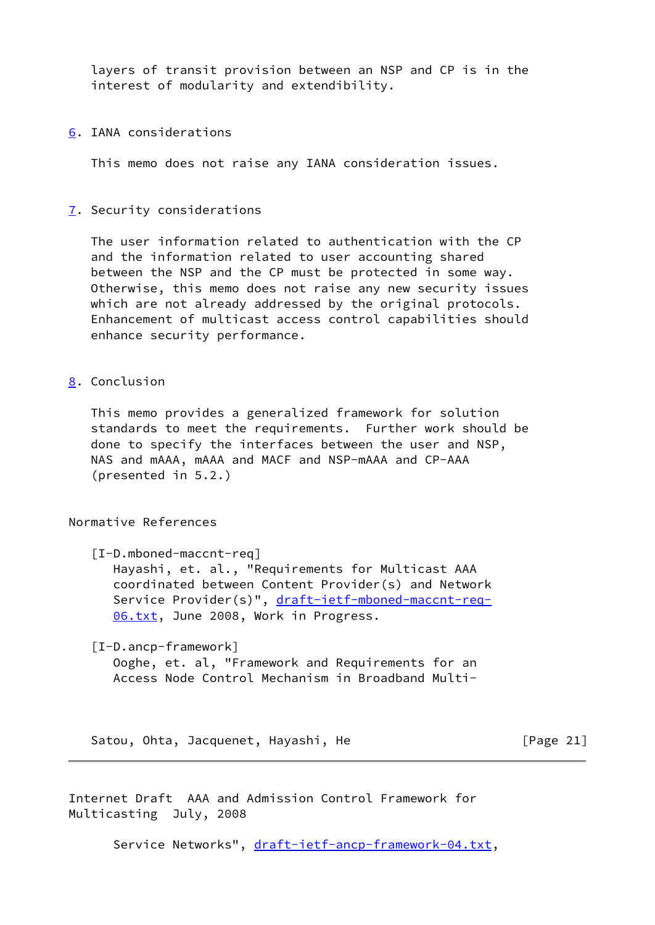layers of transit provision between an NSP and CP is in the interest of modularity and extendibility.

[6](#page-2-18). IANA considerations

This memo does not raise any IANA consideration issues.

[7](#page-2-19). Security considerations

 The user information related to authentication with the CP and the information related to user accounting shared between the NSP and the CP must be protected in some way. Otherwise, this memo does not raise any new security issues which are not already addressed by the original protocols. Enhancement of multicast access control capabilities should enhance security performance.

[8](#page-2-20). Conclusion

 This memo provides a generalized framework for solution standards to meet the requirements. Further work should be done to specify the interfaces between the user and NSP, NAS and mAAA, mAAA and MACF and NSP-mAAA and CP-AAA (presented in 5.2.)

Normative References

<span id="page-21-0"></span>[I-D.mboned-maccnt-req]

 Hayashi, et. al., "Requirements for Multicast AAA coordinated between Content Provider(s) and Network Service Provider(s)", [draft-ietf-mboned-maccnt-req-](https://datatracker.ietf.org/doc/pdf/draft-ietf-mboned-maccnt-req-06.txt) [06.txt](https://datatracker.ietf.org/doc/pdf/draft-ietf-mboned-maccnt-req-06.txt), June 2008, Work in Progress.

<span id="page-21-1"></span>[I-D.ancp-framework]

 Ooghe, et. al, "Framework and Requirements for an Access Node Control Mechanism in Broadband Multi-

Satou, Ohta, Jacquenet, Hayashi, He [Page 21]

Internet Draft AAA and Admission Control Framework for Multicasting July, 2008

Service Networks", [draft-ietf-ancp-framework-04.txt](https://datatracker.ietf.org/doc/pdf/draft-ietf-ancp-framework-04.txt),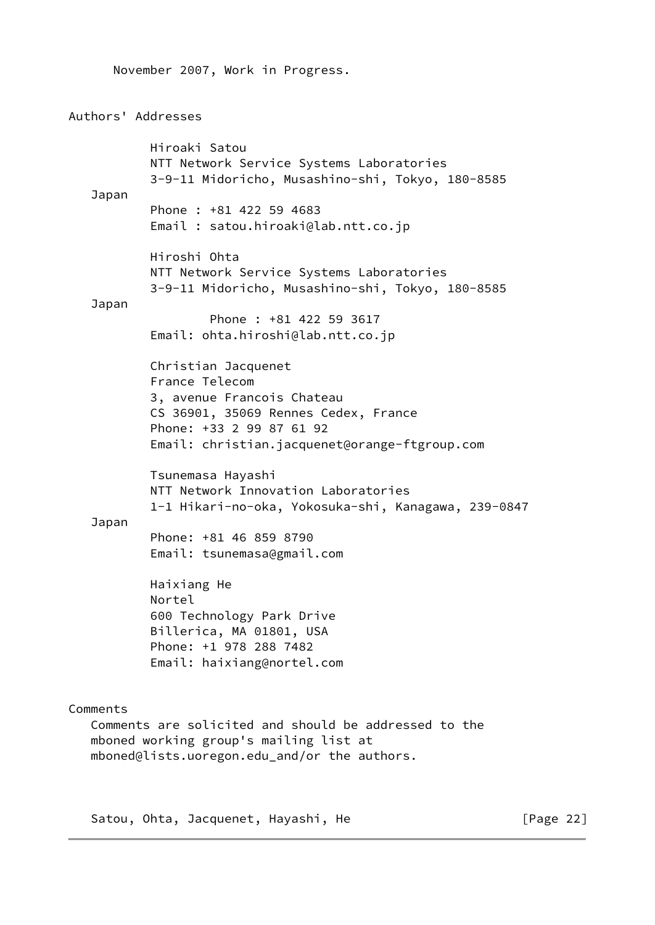November 2007, Work in Progress. Authors' Addresses Hiroaki Satou NTT Network Service Systems Laboratories 3-9-11 Midoricho, Musashino-shi, Tokyo, 180-8585 Japan Phone : +81 422 59 4683 Email : satou.hiroaki@lab.ntt.co.jp Hiroshi Ohta NTT Network Service Systems Laboratories 3-9-11 Midoricho, Musashino-shi, Tokyo, 180-8585 Japan Phone : +81 422 59 3617 Email: ohta.hiroshi@lab.ntt.co.jp Christian Jacquenet France Telecom 3, avenue Francois Chateau CS 36901, 35069 Rennes Cedex, France Phone: +33 2 99 87 61 92 Email: christian.jacquenet@orange-ftgroup.com Tsunemasa Hayashi NTT Network Innovation Laboratories 1-1 Hikari-no-oka, Yokosuka-shi, Kanagawa, 239-0847 Japan Phone: +81 46 859 8790 Email: tsunemasa@gmail.com Haixiang He Nortel 600 Technology Park Drive Billerica, MA 01801, USA Phone: +1 978 288 7482 Email: haixiang@nortel.com Comments Comments are solicited and should be addressed to the mboned working group's mailing list at mboned@lists.uoregon.edu\_and/or the authors.

Satou, Ohta, Jacquenet, Hayashi, He **Example 22** [Page 22]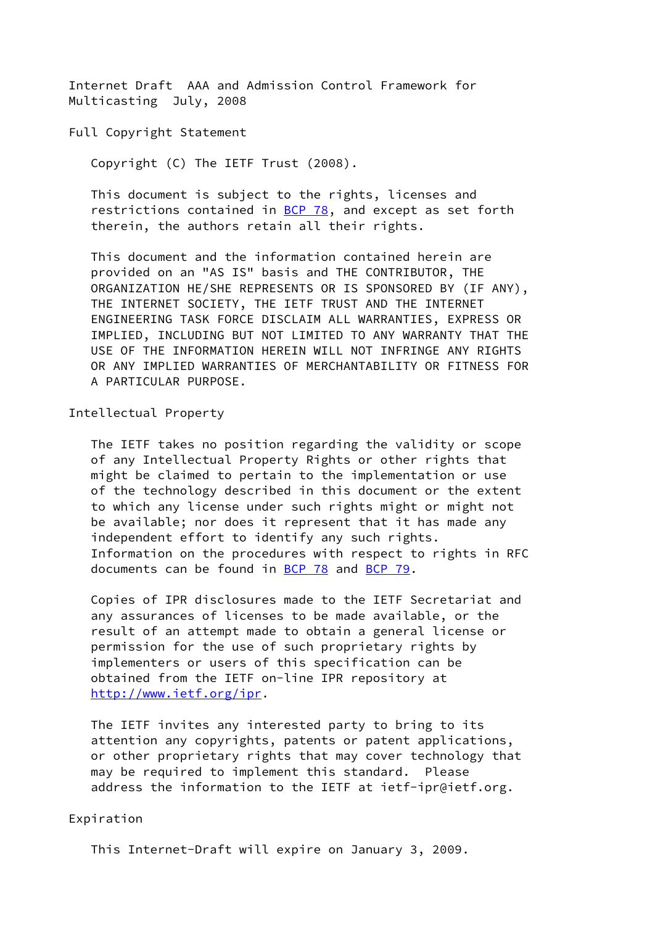Internet Draft AAA and Admission Control Framework for Multicasting July, 2008

Full Copyright Statement

Copyright (C) The IETF Trust (2008).

 This document is subject to the rights, licenses and restrictions contained in  $BCP$  78, and except as set forth therein, the authors retain all their rights.

 This document and the information contained herein are provided on an "AS IS" basis and THE CONTRIBUTOR, THE ORGANIZATION HE/SHE REPRESENTS OR IS SPONSORED BY (IF ANY), THE INTERNET SOCIETY, THE IETF TRUST AND THE INTERNET ENGINEERING TASK FORCE DISCLAIM ALL WARRANTIES, EXPRESS OR IMPLIED, INCLUDING BUT NOT LIMITED TO ANY WARRANTY THAT THE USE OF THE INFORMATION HEREIN WILL NOT INFRINGE ANY RIGHTS OR ANY IMPLIED WARRANTIES OF MERCHANTABILITY OR FITNESS FOR A PARTICULAR PURPOSE.

Intellectual Property

 The IETF takes no position regarding the validity or scope of any Intellectual Property Rights or other rights that might be claimed to pertain to the implementation or use of the technology described in this document or the extent to which any license under such rights might or might not be available; nor does it represent that it has made any independent effort to identify any such rights. Information on the procedures with respect to rights in RFC documents can be found in [BCP 78](https://datatracker.ietf.org/doc/pdf/bcp78) and [BCP 79](https://datatracker.ietf.org/doc/pdf/bcp79).

 Copies of IPR disclosures made to the IETF Secretariat and any assurances of licenses to be made available, or the result of an attempt made to obtain a general license or permission for the use of such proprietary rights by implementers or users of this specification can be obtained from the IETF on-line IPR repository at <http://www.ietf.org/ipr>.

 The IETF invites any interested party to bring to its attention any copyrights, patents or patent applications, or other proprietary rights that may cover technology that may be required to implement this standard. Please address the information to the IETF at ietf-ipr@ietf.org.

## Expiration

This Internet-Draft will expire on January 3, 2009.